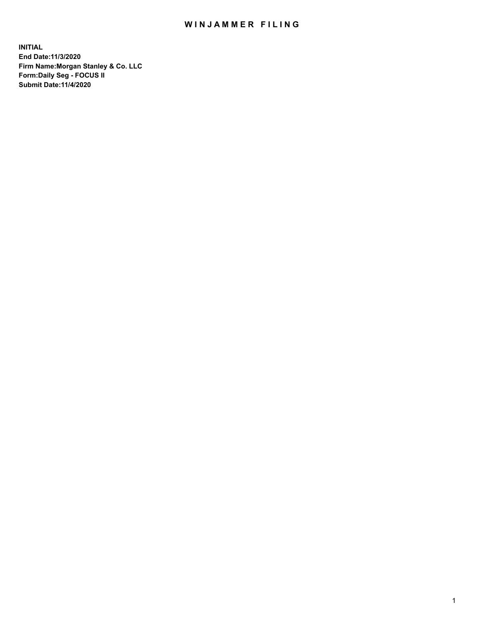## WIN JAMMER FILING

**INITIAL End Date:11/3/2020 Firm Name:Morgan Stanley & Co. LLC Form:Daily Seg - FOCUS II Submit Date:11/4/2020**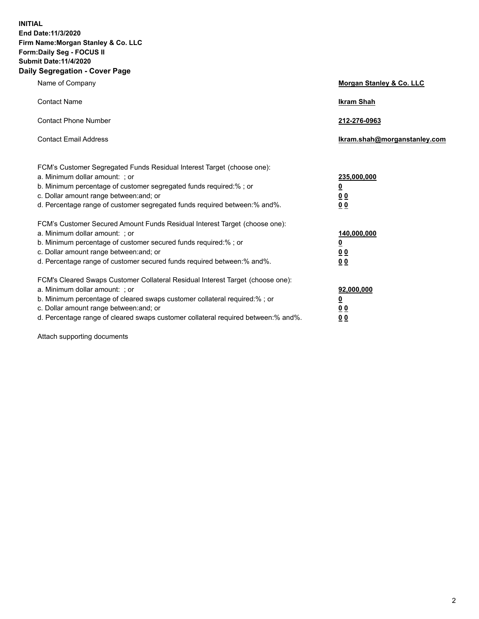**INITIAL End Date:11/3/2020 Firm Name:Morgan Stanley & Co. LLC Form:Daily Seg - FOCUS II Submit Date:11/4/2020 Daily Segregation - Cover Page**

| Name of Company                                                                                                                                                                                                                                                                                                               | Morgan Stanley & Co. LLC                               |
|-------------------------------------------------------------------------------------------------------------------------------------------------------------------------------------------------------------------------------------------------------------------------------------------------------------------------------|--------------------------------------------------------|
| <b>Contact Name</b>                                                                                                                                                                                                                                                                                                           | <b>Ikram Shah</b>                                      |
| <b>Contact Phone Number</b>                                                                                                                                                                                                                                                                                                   | 212-276-0963                                           |
| <b>Contact Email Address</b>                                                                                                                                                                                                                                                                                                  | Ikram.shah@morganstanley.com                           |
| FCM's Customer Segregated Funds Residual Interest Target (choose one):<br>a. Minimum dollar amount: ; or<br>b. Minimum percentage of customer segregated funds required:% ; or<br>c. Dollar amount range between: and; or<br>d. Percentage range of customer segregated funds required between:% and%.                        | 235,000,000<br><u>0</u><br><u>00</u><br>0 <sup>0</sup> |
| FCM's Customer Secured Amount Funds Residual Interest Target (choose one):<br>a. Minimum dollar amount: ; or<br>b. Minimum percentage of customer secured funds required:%; or<br>c. Dollar amount range between: and; or<br>d. Percentage range of customer secured funds required between:% and%.                           | 140,000,000<br><u>0</u><br><u>00</u><br>0 <sub>0</sub> |
| FCM's Cleared Swaps Customer Collateral Residual Interest Target (choose one):<br>a. Minimum dollar amount: ; or<br>b. Minimum percentage of cleared swaps customer collateral required:%; or<br>c. Dollar amount range between: and; or<br>d. Percentage range of cleared swaps customer collateral required between:% and%. | 92,000,000<br><u>0</u><br>0 Q<br>00                    |

Attach supporting documents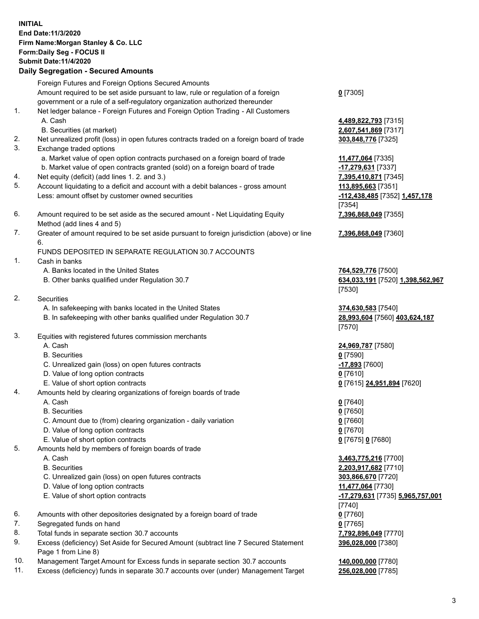## **INITIAL End Date:11/3/2020 Firm Name:Morgan Stanley & Co. LLC Form:Daily Seg - FOCUS II Submit Date:11/4/2020**

## **Daily Segregation - Secured Amounts**

Foreign Futures and Foreign Options Secured Amounts Amount required to be set aside pursuant to law, rule or regulation of a foreign government or a rule of a self-regulatory organization authorized thereunder

- 1. Net ledger balance Foreign Futures and Foreign Option Trading All Customers A. Cash **4,489,822,793** [7315]
	- B. Securities (at market) **2,607,541,869** [7317]
- 2. Net unrealized profit (loss) in open futures contracts traded on a foreign board of trade **303,848,776** [7325]
- 3. Exchange traded options
	- a. Market value of open option contracts purchased on a foreign board of trade **11,477,064** [7335]
	- b. Market value of open contracts granted (sold) on a foreign board of trade **-17,279,631** [7337]
- 4. Net equity (deficit) (add lines 1. 2. and 3.) **7,395,410,871** [7345]
- 5. Account liquidating to a deficit and account with a debit balances gross amount **113,895,663** [7351] Less: amount offset by customer owned securities **-112,438,485** [7352] **1,457,178**
- 6. Amount required to be set aside as the secured amount Net Liquidating Equity Method (add lines 4 and 5)
- 7. Greater of amount required to be set aside pursuant to foreign jurisdiction (above) or line 6.

## FUNDS DEPOSITED IN SEPARATE REGULATION 30.7 ACCOUNTS

- 1. Cash in banks
	- A. Banks located in the United States **764,529,776** [7500]
	- B. Other banks qualified under Regulation 30.7 **634,033,191** [7520] **1,398,562,967**
- 2. Securities
	- A. In safekeeping with banks located in the United States **374,630,583** [7540]
	- B. In safekeeping with other banks qualified under Regulation 30.7 **28,993,604** [7560] **403,624,187**
- 3. Equities with registered futures commission merchants
	-
	- B. Securities **0** [7590]
	- C. Unrealized gain (loss) on open futures contracts **-17,893** [7600]
	- D. Value of long option contracts **0** [7610]
	- E. Value of short option contracts **0** [7615] **24,951,894** [7620]
- 4. Amounts held by clearing organizations of foreign boards of trade
	- A. Cash **0** [7640]
	- B. Securities **0** [7650]
	- C. Amount due to (from) clearing organization daily variation **0** [7660]
	- D. Value of long option contracts **0** [7670]
	- E. Value of short option contracts **0** [7675] **0** [7680]
- 5. Amounts held by members of foreign boards of trade
	-
	-
	- C. Unrealized gain (loss) on open futures contracts **303,866,670** [7720]
	- D. Value of long option contracts **11,477,064** [7730]
	- E. Value of short option contracts **-17,279,631** [7735] **5,965,757,001**
- 6. Amounts with other depositories designated by a foreign board of trade **0** [7760]
- 7. Segregated funds on hand **0** [7765]
- 8. Total funds in separate section 30.7 accounts **7,792,896,049** [7770]
- 9. Excess (deficiency) Set Aside for Secured Amount (subtract line 7 Secured Statement Page 1 from Line 8)
- 10. Management Target Amount for Excess funds in separate section 30.7 accounts **140,000,000** [7780]
- 11. Excess (deficiency) funds in separate 30.7 accounts over (under) Management Target **256,028,000** [7785]

**0** [7305]

[7354] **7,396,868,049** [7355]

**7,396,868,049** [7360]

[7530]

[7570]

A. Cash **24,969,787** [7580]

 A. Cash **3,463,775,216** [7700] B. Securities **2,203,917,682** [7710] [7740] **396,028,000** [7380]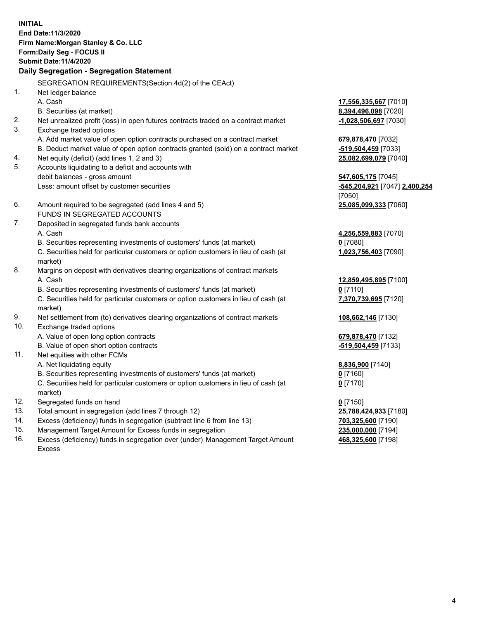**INITIAL End Date:11/3/2020 Firm Name:Morgan Stanley & Co. LLC Form:Daily Seg - FOCUS II Submit Date:11/4/2020 Daily Segregation - Segregation Statement** SEGREGATION REQUIREMENTS(Section 4d(2) of the CEAct) 1. Net ledger balance A. Cash **17,556,335,667** [7010] B. Securities (at market) **8,394,496,098** [7020] 2. Net unrealized profit (loss) in open futures contracts traded on a contract market **-1,028,506,697** [7030] 3. Exchange traded options A. Add market value of open option contracts purchased on a contract market **679,878,470** [7032] B. Deduct market value of open option contracts granted (sold) on a contract market **-519,504,459** [7033] 4. Net equity (deficit) (add lines 1, 2 and 3) **25,082,699,079** [7040] 5. Accounts liquidating to a deficit and accounts with debit balances - gross amount **547,605,175** [7045] Less: amount offset by customer securities **-545,204,921** [7047] **2,400,254** [7050] 6. Amount required to be segregated (add lines 4 and 5) **25,085,099,333** [7060] FUNDS IN SEGREGATED ACCOUNTS 7. Deposited in segregated funds bank accounts A. Cash **4,256,559,883** [7070] B. Securities representing investments of customers' funds (at market) **0** [7080] C. Securities held for particular customers or option customers in lieu of cash (at market) **1,023,756,403** [7090] 8. Margins on deposit with derivatives clearing organizations of contract markets A. Cash **12,859,495,895** [7100] B. Securities representing investments of customers' funds (at market) **0** [7110] C. Securities held for particular customers or option customers in lieu of cash (at market) **7,370,739,695** [7120] 9. Net settlement from (to) derivatives clearing organizations of contract markets **108,662,146** [7130] 10. Exchange traded options A. Value of open long option contracts **679,878,470** [7132] B. Value of open short option contracts **-519,504,459** [7133] 11. Net equities with other FCMs A. Net liquidating equity **8,836,900** [7140] B. Securities representing investments of customers' funds (at market) **0** [7160] C. Securities held for particular customers or option customers in lieu of cash (at market) **0** [7170] 12. Segregated funds on hand **0** [7150] 13. Total amount in segregation (add lines 7 through 12) **25,788,424,933** [7180] 14. Excess (deficiency) funds in segregation (subtract line 6 from line 13) **703,325,600** [7190] 15. Management Target Amount for Excess funds in segregation **235,000,000** [7194]

16. Excess (deficiency) funds in segregation over (under) Management Target Amount Excess

**468,325,600** [7198]